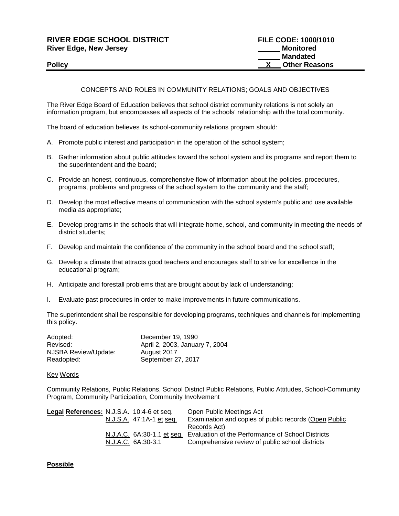# **RIVER EDGE SCHOOL DISTRICT FILE CODE: 1000/1010 River Edge, New Jersey Monitored River Edge, New Jersey**

## CONCEPTS AND ROLES IN COMMUNITY RELATIONS; GOALS AND OBJECTIVES

The River Edge Board of Education believes that school district community relations is not solely an information program, but encompasses all aspects of the schools' relationship with the total community.

The board of education believes its school-community relations program should:

- A. Promote public interest and participation in the operation of the school system;
- B. Gather information about public attitudes toward the school system and its programs and report them to the superintendent and the board;
- C. Provide an honest, continuous, comprehensive flow of information about the policies, procedures, programs, problems and progress of the school system to the community and the staff;
- D. Develop the most effective means of communication with the school system's public and use available media as appropriate;
- E. Develop programs in the schools that will integrate home, school, and community in meeting the needs of district students;
- F. Develop and maintain the confidence of the community in the school board and the school staff;
- G. Develop a climate that attracts good teachers and encourages staff to strive for excellence in the educational program;
- H. Anticipate and forestall problems that are brought about by lack of understanding;
- I. Evaluate past procedures in order to make improvements in future communications.

The superintendent shall be responsible for developing programs, techniques and channels for implementing this policy.

| Adopted:             | December 19, 1990              |
|----------------------|--------------------------------|
| Revised:             | April 2, 2003, January 7, 2004 |
| NJSBA Review/Update: | August 2017                    |
| Readopted:           | September 27, 2017             |

#### Key Words

Community Relations, Public Relations, School District Public Relations, Public Attitudes, School-Community Program, Community Participation, Community Involvement

| Legal References: N.J.S.A. 10:4-6 et seq. | Open Public Meetings Act                                                     |
|-------------------------------------------|------------------------------------------------------------------------------|
| N.J.S.A. 47:1A-1 et seq.                  | Examination and copies of public records (Open Public                        |
|                                           | Records Act)                                                                 |
|                                           | N.J.A.C. 6A:30-1.1 et seq. Evaluation of the Performance of School Districts |
| N.J.A.C. 6A:30-3.1                        | Comprehensive review of public school districts                              |

### **Possible**